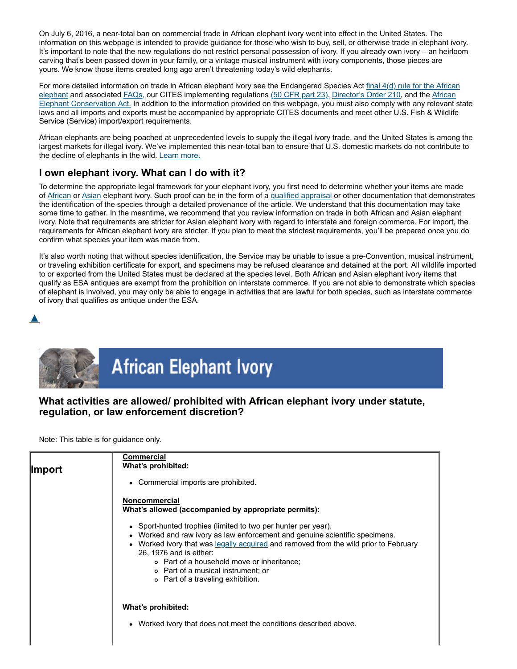On July 6, 2016, a near-total ban on commercial trade in African elephant ivory went into effect in the United States. The information on this webpage is intended to provide guidance for those who wish to buy, sell, or otherwise trade in elephant ivory. It's important to note that the new regulations do not restrict personal possession of ivory. If you already own ivory – an heirloom carving that's been passed down in your family, or a vintage musical instrument with ivory components, those pieces are yours. We know those items created long ago aren't threatening today's wild elephants.

[For more detailed information on trade in African elephant ivory see the Endangered Species Act](https://web.archive.org/web/20210924084013/https://www.federalregister.gov/articles/2016/06/06/2016-13173/endangered-and-threatened-wildlife-and-plants-revision-of-the-section-4d-rule-for-the-african?utm_campaign=subscription+mailing+list&utm_medium=email&utm_source=federalregister.gov)  $\frac{\text{final } 4(\text{d})}{\text{rule for the African}}$ elephant and associated [FAQs,](https://web.archive.org/web/20210924084013/https://www.fws.gov/international/pdf/questions-and-answers-african-elephant-4d-final-rule.pdf) our CITES implementing regulations [\(50 CFR part 23\),](https://web.archive.org/web/20210924084013/http://www.ecfr.gov/cgi-bin/text-idx?SID=e1e1b98431e45aefbfa6ccdcc4bf5d9a&mc=true&node=pt50.9.23&rgn=div5) [Director's Order 210,](https://web.archive.org/web/20210924084013/https://www.fws.gov/policy/do210.html) and the African Elephant Conservation Act. [In addition to the information provided on this webpage, you must also comply with any relevant](https://web.archive.org/web/20210924084013/https://www.fws.gov/international/wildlife-without-borders/multinational-speicies-conservation-acts-african-elephant.html) state laws and all imports and exports must be accompanied by appropriate CITES documents and meet other U.S. Fish & Wildlife Service (Service) import/export requirements.

African elephants are being poached at unprecedented levels to supply the illegal ivory trade, and the United States is among the largest markets for illegal ivory. We've implemented this near-total ban to ensure that U.S. domestic markets do not contribute to the decline of elephants in the wild. [Learn more.](https://web.archive.org/web/20210924084013/https://www.fws.gov/international/pdf/questions-and-answers-african-elephant-4d-final-rule.pdf)

# **I own elephant ivory. What can I do with it?**

To determine the appropriate legal framework for your elephant ivory, you first need to determine whether your items are made of [African](https://web.archive.org/web/20210924084013/https://www.fws.gov/international/travel-and-trade/ivory-ban-questions-and-answers.html#African) or [Asian](https://web.archive.org/web/20210924084013/https://www.fws.gov/international/travel-and-trade/ivory-ban-questions-and-answers.html#Asian) elephant ivory. Such proof can be in the form of a [qualified appraisal](https://web.archive.org/web/20210924084013/https://www.fws.gov/international/travel-and-trade/questions-and-answers-esa-cites.html#11) or other documentation that demonstrates the identification of the species through a detailed provenance of the article. We understand that this documentation may take some time to gather. In the meantime, we recommend that you review information on trade in both African and Asian elephant ivory. Note that requirements are stricter for Asian elephant ivory with regard to interstate and foreign commerce. For import, the requirements for African elephant ivory are stricter. If you plan to meet the strictest requirements, you'll be prepared once you do confirm what species your item was made from.

It's also worth noting that without species identification, the Service may be unable to issue a pre-Convention, musical instrument, or traveling exhibition certificate for export, and specimens may be refused clearance and detained at the port. All wildlife imported to or exported from the United States must be declared at the species level. Both African and Asian elephant ivory items that qualify as ESA antiques are exempt from the prohibition on interstate commerce. If you are not able to demonstrate which species of elephant is involved, you may only be able to engage in activities that are lawful for both species, such as interstate commerce of ivory that qualifies as antique under the ESA.





## **What activities are allowed/ prohibited with African elephant ivory under statute, regulation, or law enforcement discretion?**

Note: This table is for guidance only.

| ∥mport | <b>Commercial</b><br>What's prohibited:<br>• Commercial imports are prohibited.<br><b>Noncommercial</b><br>What's allowed (accompanied by appropriate permits):                                                                                                                                                                                                                          |
|--------|------------------------------------------------------------------------------------------------------------------------------------------------------------------------------------------------------------------------------------------------------------------------------------------------------------------------------------------------------------------------------------------|
|        | • Sport-hunted trophies (limited to two per hunter per year).<br>• Worked and raw ivory as law enforcement and genuine scientific specimens.<br>• Worked ivory that was legally acquired and removed from the wild prior to February<br>26, 1976 and is either:<br>o Part of a household move or inheritance;<br>o Part of a musical instrument; or<br>o Part of a traveling exhibition. |
|        | What's prohibited:<br>• Worked ivory that does not meet the conditions described above.                                                                                                                                                                                                                                                                                                  |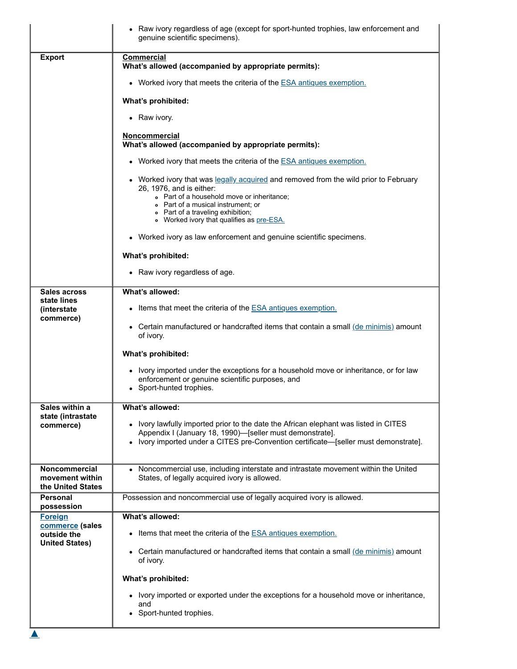|                                                              | Raw ivory regardless of age (except for sport-hunted trophies, law enforcement and<br>genuine scientific specimens).                                                                                                                                                                   |
|--------------------------------------------------------------|----------------------------------------------------------------------------------------------------------------------------------------------------------------------------------------------------------------------------------------------------------------------------------------|
| <b>Export</b>                                                | <b>Commercial</b><br>What's allowed (accompanied by appropriate permits):                                                                                                                                                                                                              |
|                                                              | • Worked ivory that meets the criteria of the $ESA$ antiques exemption.                                                                                                                                                                                                                |
|                                                              | What's prohibited:                                                                                                                                                                                                                                                                     |
|                                                              | • Raw ivory.                                                                                                                                                                                                                                                                           |
|                                                              | <b>Noncommercial</b><br>What's allowed (accompanied by appropriate permits):                                                                                                                                                                                                           |
|                                                              | • Worked ivory that meets the criteria of the <b>ESA</b> antiques exemption.                                                                                                                                                                                                           |
|                                                              | • Worked ivory that was legally acquired and removed from the wild prior to February<br>26, 1976, and is either:<br>• Part of a household move or inheritance;<br>• Part of a musical instrument; or<br>• Part of a traveling exhibition;<br>o Worked ivory that qualifies as pre-ESA. |
|                                                              | • Worked ivory as law enforcement and genuine scientific specimens.                                                                                                                                                                                                                    |
|                                                              | What's prohibited:                                                                                                                                                                                                                                                                     |
|                                                              | • Raw ivory regardless of age.                                                                                                                                                                                                                                                         |
| Sales across<br>state lines                                  | What's allowed:                                                                                                                                                                                                                                                                        |
| <i>(interstate)</i><br>commerce)                             | • Items that meet the criteria of the <b>ESA</b> antiques exemption.                                                                                                                                                                                                                   |
|                                                              | • Certain manufactured or handcrafted items that contain a small $\left(\frac{\text{de minimis}}{\text{de minimis}}\right)$ amount<br>of ivory.                                                                                                                                        |
|                                                              | What's prohibited:                                                                                                                                                                                                                                                                     |
|                                                              | • Ivory imported under the exceptions for a household move or inheritance, or for law<br>enforcement or genuine scientific purposes, and<br>Sport-hunted trophies.                                                                                                                     |
| Sales within a<br>state (intrastate                          | What's allowed:                                                                                                                                                                                                                                                                        |
| commerce)                                                    | • Ivory lawfully imported prior to the date the African elephant was listed in CITES<br>Appendix I (January 18, 1990)-[seller must demonstrate].<br>• Ivory imported under a CITES pre-Convention certificate—[seller must demonstrate].                                               |
| <b>Noncommercial</b><br>movement within<br>the United States | Noncommercial use, including interstate and intrastate movement within the United<br>States, of legally acquired ivory is allowed.                                                                                                                                                     |
| Personal<br>possession                                       | Possession and noncommercial use of legally acquired ivory is allowed.                                                                                                                                                                                                                 |
| <b>Foreign</b><br>commerce (sales                            | What's allowed:                                                                                                                                                                                                                                                                        |
| outside the<br><b>United States)</b>                         | Items that meet the criteria of the <b>ESA</b> antiques exemption.<br>$\bullet$                                                                                                                                                                                                        |
|                                                              | Certain manufactured or handcrafted items that contain a small (de minimis) amount<br>$\bullet$<br>of ivory.                                                                                                                                                                           |
|                                                              | What's prohibited:                                                                                                                                                                                                                                                                     |
|                                                              | • Ivory imported or exported under the exceptions for a household move or inheritance,<br>and                                                                                                                                                                                          |
|                                                              | • Sport-hunted trophies.                                                                                                                                                                                                                                                               |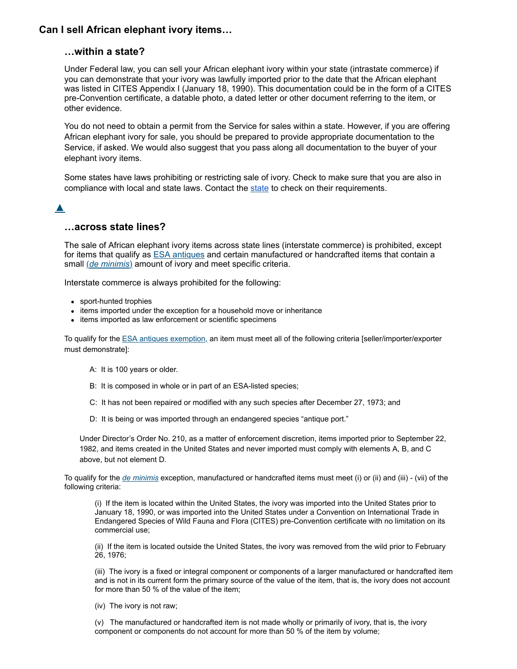## **Can I sell African elephant ivory items…**

#### **…within a state?**

Under Federal law, you can sell your African elephant ivory within your state (intrastate commerce) if you can demonstrate that your ivory was lawfully imported prior to the date that the African elephant was listed in CITES Appendix I (January 18, 1990). This documentation could be in the form of a CITES pre-Convention certificate, a datable photo, a dated letter or other document referring to the item, or other evidence.

You do not need to obtain a permit from the Service for sales within a state. However, if you are offering African elephant ivory for sale, you should be prepared to provide appropriate documentation to the Service, if asked. We would also suggest that you pass along all documentation to the buyer of your elephant ivory items.

Some states have laws prohibiting or restricting sale of ivory. Check to make sure that you are also in compliance with local and state laws. Contact the [state](https://web.archive.org/web/20210924084013/http://offices.fws.gov/statelinks.html) to check on their requirements.

## [▲](https://web.archive.org/web/20210924084013/https://www.fws.gov/international/travel-and-trade/ivory-ban-questions-and-answers.html#)

### **…across state lines?**

The sale of African elephant ivory items across state lines (interstate commerce) is prohibited, except for items that qualify as **ESA** [antiques](javascript:window.open() and certain manufactured or handcrafted items that contain a small (*de [minimis](javascript:window.open()*) amount of ivory and meet specific criteria.

Interstate commerce is always prohibited for the following:

- sport-hunted trophies
- items imported under the exception for a household move or inheritance
- items imported as law enforcement or scientific specimens

To qualify for the [ESA antiques exemption,](javascript:window.open() an item must meet all of the following criteria [seller/importer/exporter must demonstrate]:

- A: It is 100 years or older.
- B: It is composed in whole or in part of an ESA-listed species;
- C: It has not been repaired or modified with any such species after December 27, 1973; and
- D: It is being or was imported through an endangered species "antique port."

Under Director's Order No. 210, as a matter of enforcement discretion, items imported prior to September 22, 1982, and items created in the United States and never imported must comply with elements A, B, and C above, but not element D.

To qualify for the *[de minimis](javascript:window.open()* exception, manufactured or handcrafted items must meet (i) or (ii) and (iii) - (vii) of the following criteria:

(i) If the item is located within the United States, the ivory was imported into the United States prior to January 18, 1990, or was imported into the United States under a Convention on International Trade in Endangered Species of Wild Fauna and Flora (CITES) pre-Convention certificate with no limitation on its commercial use;

(ii) If the item is located outside the United States, the ivory was removed from the wild prior to February 26, 1976;

(iii) The ivory is a fixed or integral component or components of a larger manufactured or handcrafted item and is not in its current form the primary source of the value of the item, that is, the ivory does not account for more than 50 % of the value of the item;

(iv) The ivory is not raw;

(v) The manufactured or handcrafted item is not made wholly or primarily of ivory, that is, the ivory component or components do not account for more than 50 % of the item by volume;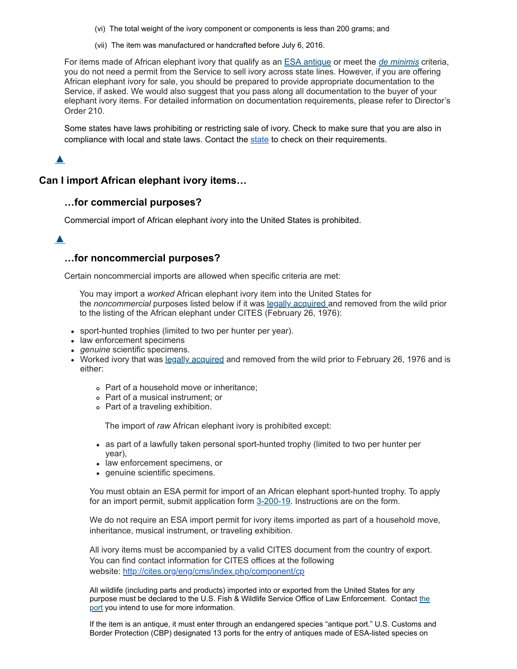- (vi) The total weight of the ivory component or components is less than 200 grams; and
- (vii) The item was manufactured or handcrafted before July 6, 2016.

For items made of African elephant ivory that qualify as an ESA [antique](javascript:window.open() or meet the *de [minimis](javascript:window.open()* criteria, you do not need a permit from the Service to sell ivory across state lines. However, if you are offering African elephant ivory for sale, you should be prepared to provide appropriate documentation to the Service, if asked. We would also suggest that you pass along all documentation to the buyer of your elephant ivory items. For detailed information on documentation requirements, please refer to Director's Order 210.

Some states have laws prohibiting or restricting sale of ivory. Check to make sure that you are also in compliance with local and [state](https://web.archive.org/web/20210924084013/http://offices.fws.gov/statelinks.html) laws. Contact the state to check on their requirements.

## [▲](https://web.archive.org/web/20210924084013/https://www.fws.gov/international/travel-and-trade/ivory-ban-questions-and-answers.html#)

#### **Can I import African elephant ivory items…**

#### **…for commercial purposes?**

Commercial import of African elephant ivory into the United States is prohibited.

## [▲](https://web.archive.org/web/20210924084013/https://www.fws.gov/international/travel-and-trade/ivory-ban-questions-and-answers.html#)

#### **…for noncommercial purposes?**

Certain noncommercial imports are allowed when specific criteria are met:

You may import a *worked* African elephant ivory item into the United States for the *noncommercial* purposes listed below if it was legally [acquired](javascript:window.open() and removed from the wild prior to the listing of the African elephant under CITES (February 26, 1976):

- sport-hunted trophies (limited to two per hunter per year).
- law enforcement specimens
- *genuine* scientific specimens.
- Worked ivory that was legally [acquired](javascript:window.open() and removed from the wild prior to February 26, 1976 and is either:
	- Part of a household move or inheritance;
	- Part of a musical instrument; or
	- Part of a traveling exhibition.

The import of *raw* African elephant ivory is prohibited except:

- as part of a lawfully taken personal sport-hunted trophy (limited to two per hunter per year),
- law enforcement specimens, or
- genuine scientific specimens.

You must obtain an ESA permit for import of an African elephant sport-hunted trophy. To apply for an import permit, submit application form [3-200-19](https://web.archive.org/web/20210924084013/https://www.fws.gov/forms/3-200-19.pdf). Instructions are on the form.

We do not require an ESA import permit for ivory items imported as part of a household move, inheritance, musical instrument, or traveling exhibition.

All ivory items must be accompanied by a valid CITES document from the country of export. You can find contact information for CITES offices at the following website: [http://cites.org/eng/cms/index.php/component/cp](https://web.archive.org/web/20210924084013/http://cites.org/eng/cms/index.php/component/cp)

All wildlife (including parts and products) imported into or exported from the United States for any [purpose must be declared to the U.S. Fish & Wildlife Service Office of Law Enforcement. Contact](https://web.archive.org/web/20210924084013/https://www.fws.gov/le/inspection-offices.html) the port you intend to use for more information.

If the item is an antique, it must enter through an endangered species "antique port." U.S. Customs and Border Protection (CBP) designated 13 ports for the entry of antiques made of ESA-listed species on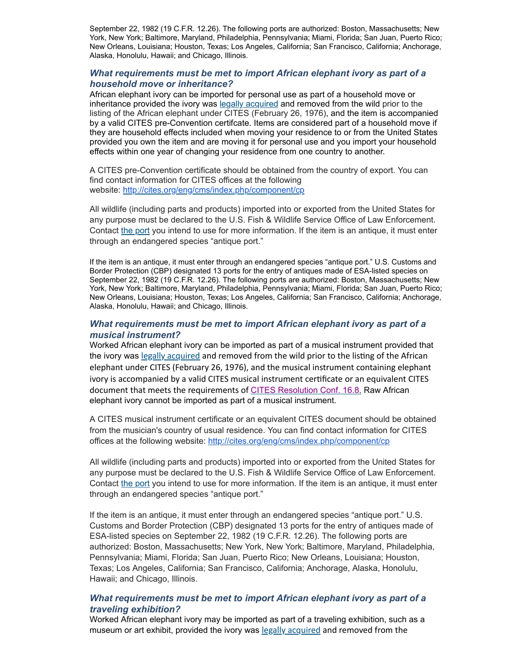September 22, 1982 (19 C.F.R. 12.26). The following ports are authorized: Boston, Massachusetts; New York, New York; Baltimore, Maryland, Philadelphia, Pennsylvania; Miami, Florida; San Juan, Puerto Rico; New Orleans, Louisiana; Houston, Texas; Los Angeles, California; San Francisco, California; Anchorage, Alaska, Honolulu, Hawaii; and Chicago, Illinois.

#### *What requirements must be met to import African elephant ivory as part of a household move or inheritance?*

African elephant ivory can be imported for personal use as part of a household move or inheritance provided the ivory was legally [acquired](javascript:window.open() and removed from the wild prior to the listing of the African elephant under CITES (February 26, 1976), and the item is accompanied by a valid CITES pre-Convention certifcate. Items are considered part of a household move if they are household effects included when moving your residence to or from the United States provided you own the item and are moving it for personal use and you import your household effects within one year of changing your residence from one country to another.

A CITES pre-Convention certificate should be obtained from the country of export. You can find contact information for CITES offices at the following website: [http://cites.org/eng/cms/index.php/component/cp](https://web.archive.org/web/20210924084013/http://cites.org/eng/cms/index.php/component/cp)

All wildlife (including parts and products) imported into or exported from the United States for any purpose must be declared to the U.S. Fish & Wildlife Service Office of Law Enforcement. Contact the [port](https://web.archive.org/web/20210924084013/https://www.fws.gov/le/inspection-offices.html) you intend to use for more information. If the item is an antique, it must enter through an endangered species "antique port."

If the item is an antique, it must enter through an endangered species "antique port." U.S. Customs and Border Protection (CBP) designated 13 ports for the entry of antiques made of ESA-listed species on September 22, 1982 (19 C.F.R. 12.26). The following ports are authorized: Boston, Massachusetts; New York, New York; Baltimore, Maryland, Philadelphia, Pennsylvania; Miami, Florida; San Juan, Puerto Rico; New Orleans, Louisiana; Houston, Texas; Los Angeles, California; San Francisco, California; Anchorage, Alaska, Honolulu, Hawaii; and Chicago, Illinois.

#### *What requirements must be met to import African elephant ivory as part of a musical instrument?*

Worked African elephant ivory can be imported as part of a musical instrument provided that the ivory was legally [acquired](javascript:window.open() and removed from the wild prior to the listing of the African elephant under CITES (February 26, 1976), and the musical instrument containing elephant ivory is accompanied by a valid CITES musical instrument certificate or an equivalent CITES document that meets the requirements of CITES [Resolution](https://web.archive.org/web/20210924084013/http://www.cites.org/eng/res/16/16-08.php) Conf. 16.8. Raw African elephant ivory cannot be imported as part of a musical instrument.

A CITES musical instrument certificate or an equivalent CITES document should be obtained from the musician's country of usual residence. You can find contact information for CITES offices at the following website: [http://cites.org/eng/cms/index.php/component/cp](https://web.archive.org/web/20210924084013/http://cites.org/eng/cms/index.php/component/cp)

All wildlife (including parts and products) imported into or exported from the United States for any purpose must be declared to the U.S. Fish & Wildlife Service Office of Law Enforcement. Contact the [port](https://web.archive.org/web/20210924084013/https://www.fws.gov/le/inspection-offices.html) you intend to use for more information. If the item is an antique, it must enter through an endangered species "antique port."

If the item is an antique, it must enter through an endangered species "antique port." U.S. Customs and Border Protection (CBP) designated 13 ports for the entry of antiques made of ESA-listed species on September 22, 1982 (19 C.F.R. 12.26). The following ports are authorized: Boston, Massachusetts; New York, New York; Baltimore, Maryland, Philadelphia, Pennsylvania; Miami, Florida; San Juan, Puerto Rico; New Orleans, Louisiana; Houston, Texas; Los Angeles, California; San Francisco, California; Anchorage, Alaska, Honolulu, Hawaii; and Chicago, Illinois.

#### *What requirements must be met to import African elephant ivory as part of a traveling exhibition?*

Worked African elephant ivory may be imported as part of a traveling exhibition, such as a museum or art exhibit, provided the ivory was legally [acquired](javascript:window.open() and removed from the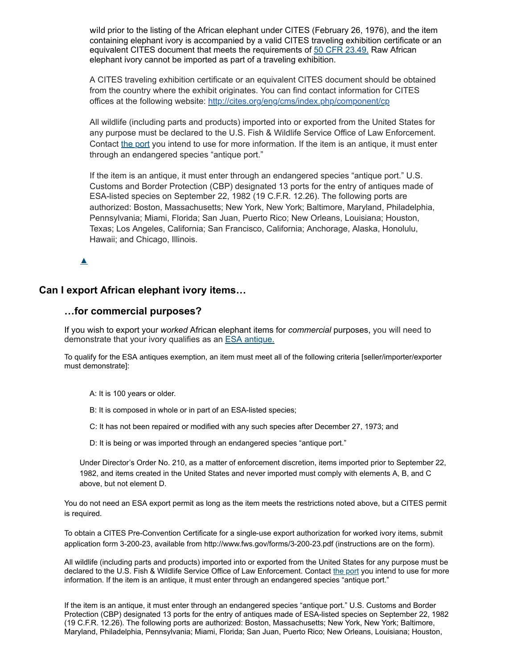wild prior to the listing of the African elephant under CITES (February 26, 1976), and the item containing elephant ivory is accompanied by a valid CITES traveling exhibition certificate or an equivalent CITES document that meets the requirements of 50 CFR [23.49.](https://web.archive.org/web/20210924084013/http://www.ecfr.gov/cgi-bin/retrieveECFR?gp&SID=ee6cbcd026f7c3d291966098810c25f0&mc=true&n=pt50.9.23&r=PART&ty=HTML%23se50.9.23_149) Raw African elephant ivory cannot be imported as part of a traveling exhibition.

A CITES traveling exhibition certificate or an equivalent CITES document should be obtained from the country where the exhibit originates. You can find contact information for CITES offices at the following website: [http://cites.org/eng/cms/index.php/component/cp](https://web.archive.org/web/20210924084013/http://cites.org/eng/cms/index.php/component/cp)

All wildlife (including parts and products) imported into or exported from the United States for any purpose must be declared to the U.S. Fish & Wildlife Service Office of Law Enforcement. Contact the [port](https://web.archive.org/web/20210924084013/https://www.fws.gov/le/inspection-offices.html) you intend to use for more information. If the item is an antique, it must enter through an endangered species "antique port."

If the item is an antique, it must enter through an endangered species "antique port." U.S. Customs and Border Protection (CBP) designated 13 ports for the entry of antiques made of ESA-listed species on September 22, 1982 (19 C.F.R. 12.26). The following ports are authorized: Boston, Massachusetts; New York, New York; Baltimore, Maryland, Philadelphia, Pennsylvania; Miami, Florida; San Juan, Puerto Rico; New Orleans, Louisiana; Houston, Texas; Los Angeles, California; San Francisco, California; Anchorage, Alaska, Honolulu, Hawaii; and Chicago, Illinois.

[▲](https://web.archive.org/web/20210924084013/https://www.fws.gov/international/travel-and-trade/ivory-ban-questions-and-answers.html#)

### **Can I export African elephant ivory items…**

#### **…for commercial purposes?**

If you wish to export your *worked* African elephant items for *commercial* purposes, you will need to demonstrate that your ivory qualifies as an ESA [antique.](javascript:window.open()

To qualify for the ESA antiques exemption, an item must meet all of the following criteria [seller/importer/exporter must demonstrate]:

A: It is 100 years or older.

B: It is composed in whole or in part of an ESA-listed species;

C: It has not been repaired or modified with any such species after December 27, 1973; and

D: It is being or was imported through an endangered species "antique port."

Under Director's Order No. 210, as a matter of enforcement discretion, items imported prior to September 22, 1982, and items created in the United States and never imported must comply with elements A, B, and C above, but not element D.

You do not need an ESA export permit as long as the item meets the restrictions noted above, but a CITES permit is required.

To obtain a CITES Pre-Convention Certificate for a single-use export authorization for worked ivory items, submit application form 3-200-23, available from http://www.fws.gov/forms/3-200-23.pdf (instructions are on the form).

All wildlife (including parts and products) imported into or exported from the United States for any purpose must be declared to the U.S. Fish & Wildlife Service Office of Law Enforcement. Contact [the port](https://web.archive.org/web/20210924084013/https://www.fws.gov/le/inspection-offices.html) you intend to use for more information. If the item is an antique, it must enter through an endangered species "antique port."

If the item is an antique, it must enter through an endangered species "antique port." U.S. Customs and Border Protection (CBP) designated 13 ports for the entry of antiques made of ESA-listed species on September 22, 1982 (19 C.F.R. 12.26). The following ports are authorized: Boston, Massachusetts; New York, New York; Baltimore, Maryland, Philadelphia, Pennsylvania; Miami, Florida; San Juan, Puerto Rico; New Orleans, Louisiana; Houston,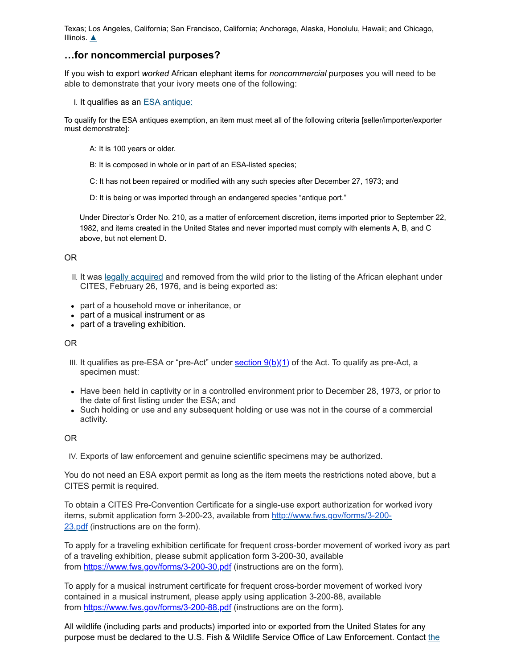Texas; Los Angeles, California; San Francisco, California; Anchorage, Alaska, Honolulu, Hawaii; and Chicago, Illinois.  $\triangle$ 

### **…for noncommercial purposes?**

If you wish to export *worked* African elephant items for *noncommercial* purposes you will need to be able to demonstrate that your ivory meets one of the following:

I. It qualifies as an **ESA** [antique:](javascript:window.open()

To qualify for the ESA antiques exemption, an item must meet all of the following criteria [seller/importer/exporter must demonstrate]:

- A: It is 100 years or older.
- B: It is composed in whole or in part of an ESA-listed species;
- C: It has not been repaired or modified with any such species after December 27, 1973; and
- D: It is being or was imported through an endangered species "antique port."

Under Director's Order No. 210, as a matter of enforcement discretion, items imported prior to September 22, 1982, and items created in the United States and never imported must comply with elements A, B, and C above, but not element D.

#### OR

- II. It was legally [acquired](javascript:window.open() and removed from the wild prior to the listing of the African elephant under CITES, February 26, 1976, and is being exported as:
- part of a household move or inheritance, or
- part of a musical instrument or as
- part of a traveling exhibition.

OR

- III. It qualifies as pre-ESA or "pre-Act" under <u>[section](https://web.archive.org/web/20210924084013/https://www.fws.gov/international/laws-treaties-agreements/us-conservation-laws/endangered-species-act.html)  $9(b)(1)$ </u> of the Act. To qualify as pre-Act, a specimen must:
- Have been held in captivity or in a controlled environment prior to December 28, 1973, or prior to the date of first listing under the ESA; and
- Such holding or use and any subsequent holding or use was not in the course of a commercial activity.

OR

IV. Exports of law enforcement and genuine scientific specimens may be authorized.

You do not need an ESA export permit as long as the item meets the restrictions noted above, but a CITES permit is required.

To obtain a CITES Pre-Convention Certificate for a single-use export authorization for worked ivory items, submit application form 3-200-23, available from [http://www.fws.gov/forms/3-200-](https://web.archive.org/web/20210924084013/https://www.fws.gov/forms/3-200-23.pdf) 23.pdf (instructions are on the form).

To apply for a traveling exhibition certificate for frequent cross-border movement of worked ivory as part of a traveling exhibition, please submit application form 3-200-30, available from [https://www.fws.gov/forms/3-200-30.pdf](https://web.archive.org/web/20210924084013/https://www.fws.gov/forms/3-200-30.pdf) (instructions are on the form).

To apply for a musical instrument certificate for frequent cross-border movement of worked ivory contained in a musical instrument, please apply using application 3-200-88, available from [https://www.fws.gov/forms/3-200-88.pdf](https://web.archive.org/web/20210924084013/https://www.fws.gov/forms/3-200-88.pdf) (instructions are on the form).

All wildlife (including parts and products) imported into or exported from the United States for any purpose must be declared to the U.S. Fish & Wildlife Service Office of Law [Enforcement.](https://web.archive.org/web/20210924084013/https://www.fws.gov/le/inspection-offices.html) Contact the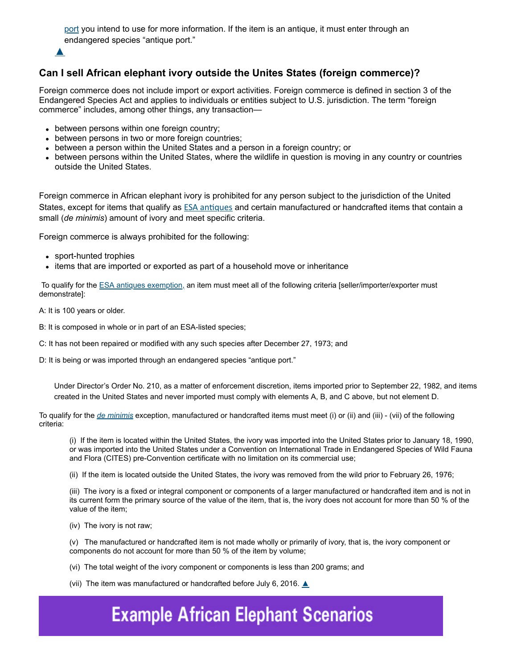port you intend to use for more [information.](https://web.archive.org/web/20210924084013/https://www.fws.gov/le/inspection-offices.html) If the item is an antique, it must enter through an endangered species "antique port."



# **Can I sell African elephant ivory outside the Unites States (foreign commerce)?**

Foreign commerce does not include import or export activities. Foreign commerce is defined in section 3 of the Endangered Species Act and applies to individuals or entities subject to U.S. jurisdiction. The term "foreign commerce" includes, among other things, any transaction—

- between persons within one foreign country;
- between persons in two or more foreign countries;
- between a person within the United States and a person in a foreign country; or
- between persons within the United States, where the wildlife in question is moving in any country or countries outside the United States.

Foreign commerce in African elephant ivory is prohibited for any person subject to the jurisdiction of the United States, except for items that qualify as **ESA** [antiques](javascript:window.open() and certain manufactured or handcrafted items that contain a small (*de minimis*) amount of ivory and meet specific criteria.

Foreign commerce is always prohibited for the following:

- sport-hunted trophies
- items that are imported or exported as part of a household move or inheritance

To qualify for the **ESA antiques exemption**, an item must meet all of the following criteria [seller/importer/exporter must demonstrate]:

A: It is 100 years or older.

- B: It is composed in whole or in part of an ESA-listed species;
- C: It has not been repaired or modified with any such species after December 27, 1973; and
- D: It is being or was imported through an endangered species "antique port."

Under Director's Order No. 210, as a matter of enforcement discretion, items imported prior to September 22, 1982, and items created in the United States and never imported must comply with elements A, B, and C above, but not element D.

To qualify for the *[de minimis](javascript:window.open()* exception, manufactured or handcrafted items must meet (i) or (ii) and (iii) - (vii) of the following criteria:

(i) If the item is located within the United States, the ivory was imported into the United States prior to January 18, 1990, or was imported into the United States under a Convention on International Trade in Endangered Species of Wild Fauna and Flora (CITES) pre-Convention certificate with no limitation on its commercial use;

(ii) If the item is located outside the United States, the ivory was removed from the wild prior to February 26, 1976;

(iii) The ivory is a fixed or integral component or components of a larger manufactured or handcrafted item and is not in its current form the primary source of the value of the item, that is, the ivory does not account for more than 50 % of the value of the item;

(iv) The ivory is not raw;

(v) The manufactured or handcrafted item is not made wholly or primarily of ivory, that is, the ivory component or components do not account for more than 50 % of the item by volume;

(vi) The total weight of the ivory component or components is less than 200 grams; and

(vii) The item was manufactured or handcrafted before July 6, 2016.  $\triangle$ 

# **Example African Elephant Scenarios**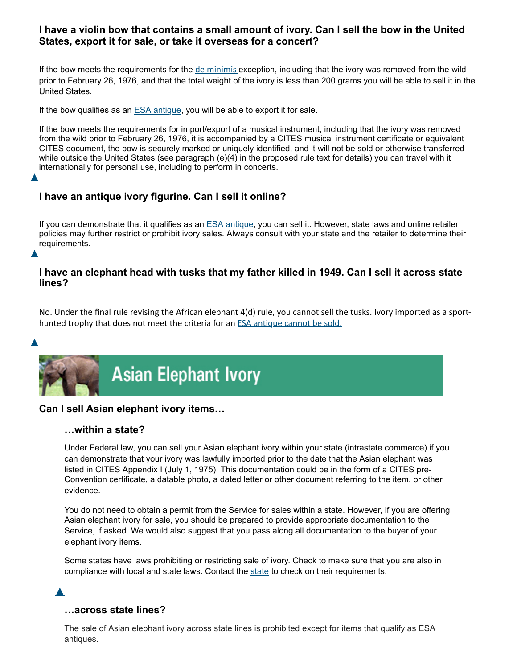## **I have a violin bow that contains a small amount of ivory. Can I sell the bow in the United States, export it for sale, or take it overseas for a concert?**

If the bow meets the requirements for the de [minimis](javascript:window.open() exception, including that the ivory was removed from the wild prior to February 26, 1976, and that the total weight of the ivory is less than 200 grams you will be able to sell it in the United States.

If the bow qualifies as an  $ESA$  [antique,](javascript:window.open() you will be able to export it for sale.

If the bow meets the requirements for import/export of a musical instrument, including that the ivory was removed from the wild prior to February 26, 1976, it is accompanied by a CITES musical instrument certificate or equivalent CITES document, the bow is securely marked or uniquely identified, and it will not be sold or otherwise transferred while outside the United States (see paragraph (e)(4) in the proposed rule text for details) you can travel with it internationally for personal use, including to perform in concerts.

# **I have an antique ivory figurine. Can I sell it online?**

If you can demonstrate that it qualifies as an ESA [antique,](javascript:window.open() you can sell it. However, state laws and online retailer policies may further restrict or prohibit ivory sales. Always consult with your state and the retailer to determine their requirements.  $\blacktriangle$ 

## **I have an elephant head with tusks that my father killed in 1949. Can I sell it across state lines?**

No. Under the final rule revising the African elephant 4(d) rule, you cannot sell the tusks. Ivory imported as a sporthunted trophy that does not meet the criteria for an ESA [antique](javascript:window.open() cannot be sold.



 $\blacktriangle$ 



## **Can I sell Asian elephant ivory items…**

#### **…within a state?**

Under Federal law, you can sell your Asian elephant ivory within your state (intrastate commerce) if you can demonstrate that your ivory was lawfully imported prior to the date that the Asian elephant was listed in CITES Appendix I (July 1, 1975). This documentation could be in the form of a CITES pre-Convention certificate, a datable photo, a dated letter or other document referring to the item, or other evidence.

You do not need to obtain a permit from the Service for sales within a state. However, if you are offering Asian elephant ivory for sale, you should be prepared to provide appropriate documentation to the Service, if asked. We would also suggest that you pass along all documentation to the buyer of your elephant ivory items.

Some states have laws prohibiting or restricting sale of ivory. Check to make sure that you are also in compliance with local and [state](https://web.archive.org/web/20210924084013/http://offices.fws.gov/statelinks.html) laws. Contact the state to check on their requirements.

#### [▲](https://web.archive.org/web/20210924084013/https://www.fws.gov/international/travel-and-trade/ivory-ban-questions-and-answers.html#)

## **…across state lines?**

The sale of Asian elephant ivory across state lines is prohibited except for items that qualify as ESA antiques.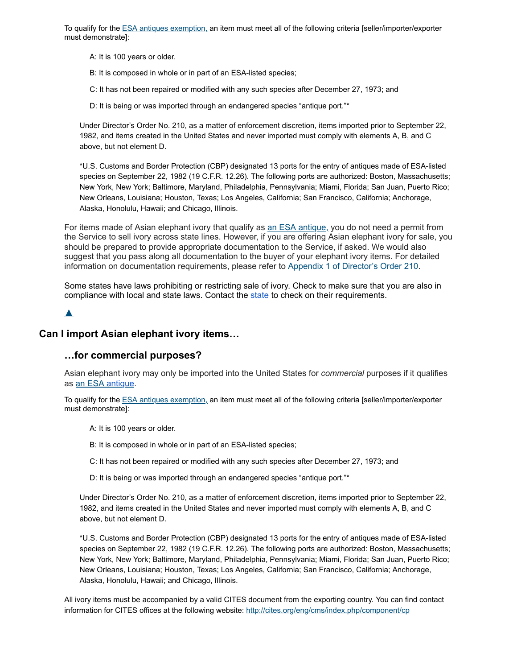To qualify for the [ESA antiques exemption,](javascript:window.open() an item must meet all of the following criteria [seller/importer/exporter must demonstrate]:

A: It is 100 years or older.

B: It is composed in whole or in part of an ESA-listed species;

C: It has not been repaired or modified with any such species after December 27, 1973; and

D: It is being or was imported through an endangered species "antique port."\*

Under Director's Order No. 210, as a matter of enforcement discretion, items imported prior to September 22, 1982, and items created in the United States and never imported must comply with elements A, B, and C above, but not element D.

\*U.S. Customs and Border Protection (CBP) designated 13 ports for the entry of antiques made of ESA-listed species on September 22, 1982 (19 C.F.R. 12.26). The following ports are authorized: Boston, Massachusetts; New York, New York; Baltimore, Maryland, Philadelphia, Pennsylvania; Miami, Florida; San Juan, Puerto Rico; New Orleans, Louisiana; Houston, Texas; Los Angeles, California; San Francisco, California; Anchorage, Alaska, Honolulu, Hawaii; and Chicago, Illinois.

For items made of Asian elephant ivory that qualify as an ESA [antique,](javascript:window.open() you do not need a permit from the Service to sell ivory across state lines. However, if you are offering Asian elephant ivory for sale, you should be prepared to provide appropriate documentation to the Service, if asked. We would also suggest that you pass along all documentation to the buyer of your elephant ivory items. For detailed information on documentation requirements, please refer to Appendix 1 of [Director's](https://web.archive.org/web/20210924084013/https://www.fws.gov/policy/do210A1.pdf) Order 210.

Some states have laws prohibiting or restricting sale of ivory. Check to make sure that you are also in compliance with local and [state](https://web.archive.org/web/20210924084013/http://offices.fws.gov/statelinks.html) laws. Contact the state to check on their requirements.

 $\blacktriangle$ 

## **Can I import Asian elephant ivory items…**

#### **…for commercial purposes?**

Asian elephant ivory may only be imported into the United States for *commercial* purposes if it qualifies as an [ESA](javascript:window.open() [antique](javascript:window.open().

To qualify for the [ESA antiques exemption,](javascript:window.open() an item must meet all of the following criteria [seller/importer/exporter must demonstrate]:

A: It is 100 years or older.

B: It is composed in whole or in part of an ESA-listed species;

C: It has not been repaired or modified with any such species after December 27, 1973; and

D: It is being or was imported through an endangered species "antique port."\*

Under Director's Order No. 210, as a matter of enforcement discretion, items imported prior to September 22, 1982, and items created in the United States and never imported must comply with elements A, B, and C above, but not element D.

\*U.S. Customs and Border Protection (CBP) designated 13 ports for the entry of antiques made of ESA-listed species on September 22, 1982 (19 C.F.R. 12.26). The following ports are authorized: Boston, Massachusetts; New York, New York; Baltimore, Maryland, Philadelphia, Pennsylvania; Miami, Florida; San Juan, Puerto Rico; New Orleans, Louisiana; Houston, Texas; Los Angeles, California; San Francisco, California; Anchorage, Alaska, Honolulu, Hawaii; and Chicago, Illinois.

All ivory items must be accompanied by a valid CITES document from the exporting country. You can find contact information for CITES offices at the following website: [http://cites.org/eng/cms/index.php/component/cp](https://web.archive.org/web/20210924084013/http://cites.org/eng/cms/index.php/component/cp)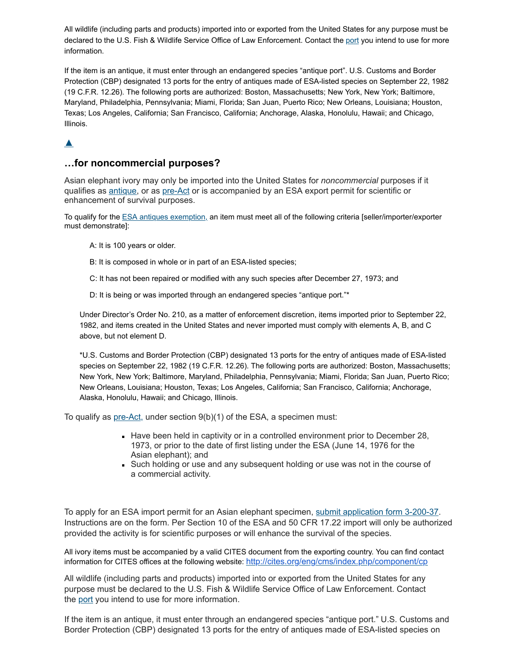All wildlife (including parts and products) imported into or exported from the United States for any purpose must be declared to the U.S. Fish & Wildlife Service Office of Law Enforcement. Contact the [port](https://web.archive.org/web/20210924084013/https://www.fws.gov/le/inspection-offices.html) you intend to use for more information.

If the item is an antique, it must enter through an endangered species "antique port". U.S. Customs and Border Protection (CBP) designated 13 ports for the entry of antiques made of ESA-listed species on September 22, 1982 (19 C.F.R. 12.26). The following ports are authorized: Boston, Massachusetts; New York, New York; Baltimore, Maryland, Philadelphia, Pennsylvania; Miami, Florida; San Juan, Puerto Rico; New Orleans, Louisiana; Houston, Texas; Los Angeles, California; San Francisco, California; Anchorage, Alaska, Honolulu, Hawaii; and Chicago, Illinois.

# [▲](https://web.archive.org/web/20210924084013/https://www.fws.gov/international/travel-and-trade/ivory-ban-questions-and-answers.html#)

### **…for noncommercial purposes?**

Asian elephant ivory may only be imported into the United States for *noncommercial* purposes if it qualifies as **antique**, or as [pre-Act](javascript:window.open() or is accompanied by an ESA export permit for scientific or enhancement of survival purposes.

To qualify for the **ESA antiques exemption**, an item must meet all of the following criteria [seller/importer/exporter must demonstrate]:

- A: It is 100 years or older.
- B: It is composed in whole or in part of an ESA-listed species;
- C: It has not been repaired or modified with any such species after December 27, 1973; and
- D: It is being or was imported through an endangered species "antique port."\*

Under Director's Order No. 210, as a matter of enforcement discretion, items imported prior to September 22, 1982, and items created in the United States and never imported must comply with elements A, B, and C above, but not element D.

\*U.S. Customs and Border Protection (CBP) designated 13 ports for the entry of antiques made of ESA-listed species on September 22, 1982 (19 C.F.R. 12.26). The following ports are authorized: Boston, Massachusetts; New York, New York; Baltimore, Maryland, Philadelphia, Pennsylvania; Miami, Florida; San Juan, Puerto Rico; New Orleans, Louisiana; Houston, Texas; Los Angeles, California; San Francisco, California; Anchorage, Alaska, Honolulu, Hawaii; and Chicago, Illinois.

To qualify as [pre-Act,](javascript:window.open() under section 9(b)(1) of the ESA, a specimen must:

- Have been held in captivity or in a controlled environment prior to December 28, 1973, or prior to the date of first listing under the ESA (June 14, 1976 for the Asian elephant); and
- Such holding or use and any subsequent holding or use was not in the course of a commercial activity.

To apply for an ESA import permit for an Asian elephant specimen, submit [application](https://web.archive.org/web/20210924084013/https://www.fws.gov/forms/3-200-37.pdf) form 3-200-37. Instructions are on the form. Per Section 10 of the ESA and 50 CFR 17.22 import will only be authorized provided the activity is for scientific purposes or will enhance the survival of the species.

All ivory items must be accompanied by a valid CITES document from the exporting country. You can find contact information for CITES offices at the following website: [http://cites.org/eng/cms/index.php/component/cp](https://web.archive.org/web/20210924084013/http://cites.org/eng/cms/index.php/component/cp)

All wildlife (including parts and products) imported into or exported from the United States for any purpose must be declared to the U.S. Fish & Wildlife Service Office of Law Enforcement. Contact the [port](https://web.archive.org/web/20210924084013/https://www.fws.gov/le/inspection-offices.html) you intend to use for more information.

If the item is an antique, it must enter through an endangered species "antique port." U.S. Customs and Border Protection (CBP) designated 13 ports for the entry of antiques made of ESA-listed species on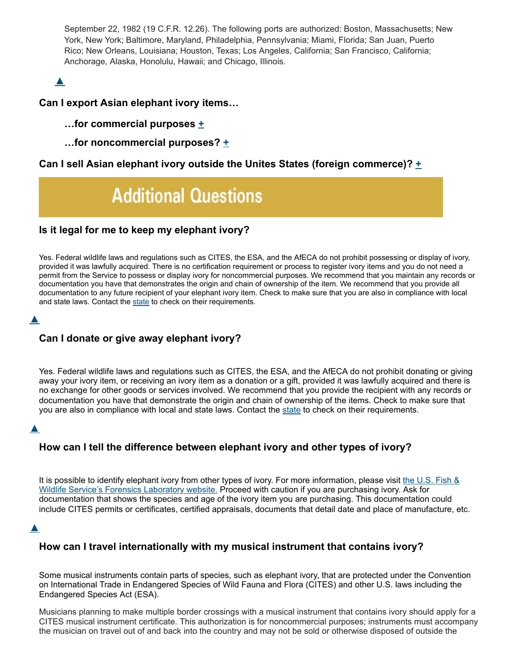September 22, 1982 (19 C.F.R. 12.26). The following ports are authorized: Boston, Massachusetts; New York, New York; Baltimore, Maryland, Philadelphia, Pennsylvania; Miami, Florida; San Juan, Puerto Rico; New Orleans, Louisiana; Houston, Texas; Los Angeles, California; San Francisco, California; Anchorage, Alaska, Honolulu, Hawaii; and Chicago, Illinois.

# $\blacktriangle$

## **Can I export Asian elephant ivory items…**

## **…for commercial purposes [+](https://web.archive.org/web/20210924084013/https://www.fws.gov/international/travel-and-trade/ivory-ban-questions-and-answers.html#)**

**…for noncommercial purposes? [+](https://web.archive.org/web/20210924084013/https://www.fws.gov/international/travel-and-trade/ivory-ban-questions-and-answers.html#)**

## **Can I sell Asian elephant ivory outside the Unites States (foreign commerce)? [+](https://web.archive.org/web/20210924084013/https://www.fws.gov/international/travel-and-trade/ivory-ban-questions-and-answers.html#)**

# **Additional Questions**

## **Is it legal for me to keep my elephant ivory?**

Yes. Federal wildlife laws and regulations such as CITES, the ESA, and the AfECA do not prohibit possessing or display of ivory, provided it was lawfully acquired. There is no certification requirement or process to register ivory items and you do not need a permit from the Service to possess or display ivory for noncommercial purposes. We recommend that you maintain any records or documentation you have that demonstrates the origin and chain of ownership of the item. We recommend that you provide all documentation to any future recipient of your elephant ivory item. Check to make sure that you are also in compliance with local and [state](https://web.archive.org/web/20210924084013/http://offices.fws.gov/statelinks.html) laws. Contact the state to check on their requirements.

### $\blacktriangle$

## **Can I donate or give away elephant ivory?**

Yes. Federal wildlife laws and regulations such as CITES, the ESA, and the AfECA do not prohibit donating or giving away your ivory item, or receiving an ivory item as a donation or a gift, provided it was lawfully acquired and there is no exchange for other goods or services involved. We recommend that you provide the recipient with any records or documentation you have that demonstrate the origin and chain of ownership of the items. Check to make sure that you are also in compliance with local and [state](https://web.archive.org/web/20210924084013/http://offices.fws.gov/statelinks.html) laws. Contact the state to check on their requirements.

## $\blacktriangle$

## **How can I tell the difference between elephant ivory and other types of ivory?**

It is possible to identify elephant ivory from other types of ivory. For more [information,](https://web.archive.org/web/20210924084013/https://www.fws.gov/lab/ivory.php) please visit the U.S. Fish  $\&$ Wildlife Service's Forensics Laboratory website. Proceed with caution if you are purchasing ivory. Ask for documentation that shows the species and age of the ivory item you are purchasing. This documentation could include CITES permits or certificates, certified appraisals, documents that detail date and place of manufacture, etc.

#### [▲](https://web.archive.org/web/20210924084013/https://www.fws.gov/international/travel-and-trade/ivory-ban-questions-and-answers.html#)

## **How can I travel internationally with my musical instrument that contains ivory?**

Some musical instruments contain parts of species, such as elephant ivory, that are protected under the Convention on International Trade in Endangered Species of Wild Fauna and Flora (CITES) and other U.S. laws including the Endangered Species Act (ESA).

Musicians planning to make multiple border crossings with a musical instrument that contains ivory should apply for a CITES musical instrument certificate. This authorization is for noncommercial purposes; instruments must accompany the musician on travel out of and back into the country and may not be sold or otherwise disposed of outside the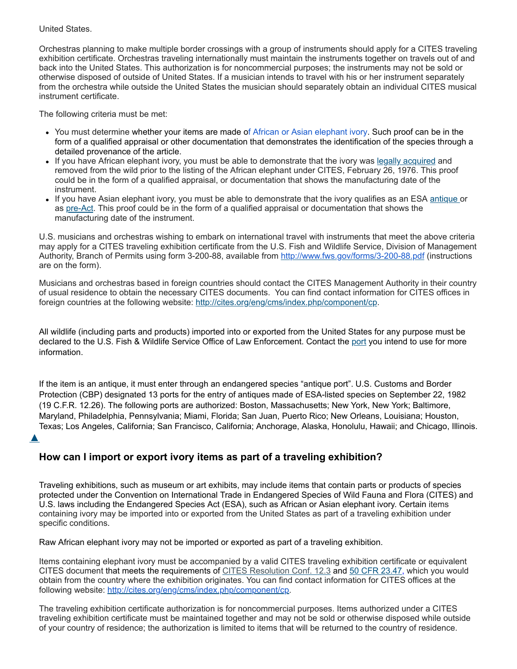#### United States.

Orchestras planning to make multiple border crossings with a group of instruments should apply for a CITES traveling exhibition certificate. Orchestras traveling internationally must maintain the instruments together on travels out of and back into the United States. This authorization is for noncommercial purposes; the instruments may not be sold or otherwise disposed of outside of United States. If a musician intends to travel with his or her instrument separately from the orchestra while outside the United States the musician should separately obtain an individual CITES musical instrument certificate.

The following criteria must be met:

- You must determine whether your items are made of African or Asian elephant ivory. Such proof can be in the form of a qualified appraisal or other documentation that demonstrates the identification of the species through a detailed provenance of the article.
- . If you have African elephant ivory, you must be able to demonstrate that the ivory was legally [acquired](javascript:window.open() and removed from the wild prior to the listing of the African elephant under CITES, February 26, 1976. This proof could be in the form of a qualified appraisal, or documentation that shows the manufacturing date of the instrument.
- If you have Asian elephant ivory, you must be able to demonstrate that the ivory qualifies as an ESA [antique](javascript:window.open() or as [pre-Act.](javascript:window.open() This proof could be in the form of a qualified appraisal or documentation that shows the manufacturing date of the instrument.

U.S. musicians and orchestras wishing to embark on international travel with instruments that meet the above criteria may apply for a CITES traveling exhibition certificate from the U.S. Fish and Wildlife Service, Division of Management Authority, Branch of Permits using form 3-200-88, available from [http://www.fws.gov/forms/3-200-88.pdf](https://web.archive.org/web/20210924084013/https://www.fws.gov/forms/3-200-88.pdf) (instructions are on the form).

Musicians and orchestras based in foreign countries should contact the CITES Management Authority in their country of usual residence to obtain the necessary CITES documents. You can find contact information for CITES offices in foreign countries at the following website: [http://cites.org/eng/cms/index.php/component/cp.](https://web.archive.org/web/20210924084013/http://cites.org/eng/cms/index.php/component/cp)

All wildlife (including parts and products) imported into or exported from the United States for any purpose must be declared to the U.S. Fish & Wildlife Service Office of Law Enforcement. Contact the [port](https://web.archive.org/web/20210924084013/https://www.fws.gov/le/inspection-offices.html) you intend to use for more information.

If the item is an antique, it must enter through an endangered species "antique port". U.S. Customs and Border Protection (CBP) designated 13 ports for the entry of antiques made of ESA-listed species on September 22, 1982 (19 C.F.R. 12.26). The following ports are authorized: Boston, Massachusetts; New York, New York; Baltimore, Maryland, Philadelphia, Pennsylvania; Miami, Florida; San Juan, Puerto Rico; New Orleans, Louisiana; Houston, Texas; Los Angeles, California; San Francisco, California; Anchorage, Alaska, Honolulu, Hawaii; and Chicago, Illinois.

 $\blacktriangle$ 

# **How can I import or export ivory items as part of a traveling exhibition?**

Traveling exhibitions, such as museum or art exhibits, may include items that contain parts or products of species protected under the Convention on International Trade in Endangered Species of Wild Fauna and Flora (CITES) and U.S. laws including the Endangered Species Act (ESA), such as African or Asian elephant ivory. Certain items containing ivory may be imported into or exported from the United States as part of a traveling exhibition under specific conditions.

Raw African elephant ivory may not be imported or exported as part of a traveling exhibition.

Items containing elephant ivory must be accompanied by a valid CITES traveling exhibition certificate or equivalent CITES document that meets the requirements of CITES [Resolution](https://web.archive.org/web/20210924084013/http://cites.org/eng/res/12/12-03R16.php) Conf. 12.3 and 50 CFR [23.47](https://web.archive.org/web/20210924084013/http://www.ecfr.gov/cgi-bin/text-idx?SID=d4aa62b3b05b7c0d9579835e46203bfe&mc=true&node=se50.9.23_149&rgn=div8), which you would obtain from the country where the exhibition originates. You can find contact information for CITES offices at the following website: [http://cites.org/eng/cms/index.php/component/cp.](https://web.archive.org/web/20210924084013/http://cites.org/eng/cms/index.php/component/cp)

The traveling exhibition certificate authorization is for noncommercial purposes. Items authorized under a CITES traveling exhibition certificate must be maintained together and may not be sold or otherwise disposed while outside of your country of residence; the authorization is limited to items that will be returned to the country of residence.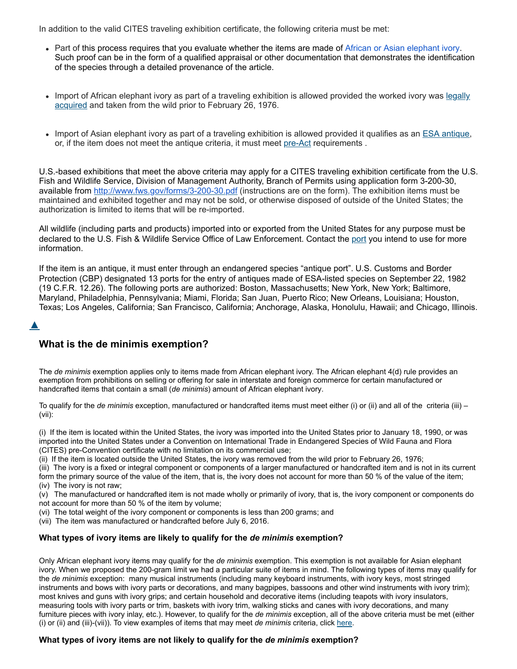In addition to the valid CITES traveling exhibition certificate, the following criteria must be met:

- Part of this process requires that you evaluate whether the items are made of African or Asian elephant ivory. Such proof can be in the form of a qualified appraisal or other documentation that demonstrates the identification of the species through a detailed provenance of the article.
- Import of African elephant ivory as part of a traveling [exhibition](javascript:window.open() is allowed provided the worked ivory was legally acquired and taken from the wild prior to February 26, 1976.
- Import of Asian elephant ivory as part of a traveling exhibition is allowed provided it qualifies as an ESA [antique](javascript:window.open(), or, if the item does not meet the antique criteria, it must meet [pre-Act](javascript:window.open() requirements.

U.S.-based exhibitions that meet the above criteria may apply for a CITES traveling exhibition certificate from the U.S. Fish and Wildlife Service, Division of Management Authority, Branch of Permits using application form 3-200-30, available from [http://www.fws.gov/forms/3-200-30.pdf](https://web.archive.org/web/20210924084013/https://www.fws.gov/forms/3-200-30.pdf) (instructions are on the form). The exhibition items must be maintained and exhibited together and may not be sold, or otherwise disposed of outside of the United States; the authorization is limited to items that will be re-imported.

All wildlife (including parts and products) imported into or exported from the United States for any purpose must be declared to the U.S. Fish & Wildlife Service Office of Law Enforcement. Contact the [port](https://web.archive.org/web/20210924084013/https://www.fws.gov/le/inspection-offices.html) you intend to use for more information.

If the item is an antique, it must enter through an endangered species "antique port". U.S. Customs and Border Protection (CBP) designated 13 ports for the entry of antiques made of ESA-listed species on September 22, 1982 (19 C.F.R. 12.26). The following ports are authorized: Boston, Massachusetts; New York, New York; Baltimore, Maryland, Philadelphia, Pennsylvania; Miami, Florida; San Juan, Puerto Rico; New Orleans, Louisiana; Houston, Texas; Los Angeles, California; San Francisco, California; Anchorage, Alaska, Honolulu, Hawaii; and Chicago, Illinois.

```
\blacktriangle
```
## **What is the de minimis exemption?**

The *de minimis* exemption applies only to items made from African elephant ivory. The African elephant 4(d) rule provides an exemption from prohibitions on selling or offering for sale in interstate and foreign commerce for certain manufactured or handcrafted items that contain a small (*de minimis*) amount of African elephant ivory.

To qualify for the *de minimis* exception, manufactured or handcrafted items must meet either (i) or (ii) and all of the criteria (iii) – (vii):

(i) If the item is located within the United States, the ivory was imported into the United States prior to January 18, 1990, or was imported into the United States under a Convention on International Trade in Endangered Species of Wild Fauna and Flora (CITES) pre-Convention certificate with no limitation on its commercial use;

(ii) If the item is located outside the United States, the ivory was removed from the wild prior to February 26, 1976;

(iii) The ivory is a fixed or integral component or components of a larger manufactured or handcrafted item and is not in its current form the primary source of the value of the item, that is, the ivory does not account for more than 50 % of the value of the item; (iv) The ivory is not raw;

(v) The manufactured or handcrafted item is not made wholly or primarily of ivory, that is, the ivory component or components do not account for more than 50 % of the item by volume;

(vi) The total weight of the ivory component or components is less than 200 grams; and

(vii) The item was manufactured or handcrafted before July 6, 2016.

#### **What types of ivory items are likely to qualify for the** *de minimis* **exemption?**

Only African elephant ivory items may qualify for the *de minimis* exemption. This exemption is not available for Asian elephant ivory. When we proposed the 200-gram limit we had a particular suite of items in mind. The following types of items may qualify for the *de minimis* exception: many musical instruments (including many keyboard instruments, with ivory keys, most stringed instruments and bows with ivory parts or decorations, and many bagpipes, bassoons and other wind instruments with ivory trim); most knives and guns with ivory grips; and certain household and decorative items (including teapots with ivory insulators, measuring tools with ivory parts or trim, baskets with ivory trim, walking sticks and canes with ivory decorations, and many furniture pieces with ivory inlay, etc.). However, to qualify for the *de minimis* exception, all of the above criteria must be met (either (i) or (ii) and (iii)-(vii)). To view examples of items that may meet *de minimis* criteria, click [here.](https://web.archive.org/web/20210924084013/https://www.fws.gov/international/pdf/african-elephant-ivory-de-minimis-examples.pdf)

#### **What types of ivory items are not likely to qualify for the** *de minimis* **exemption?**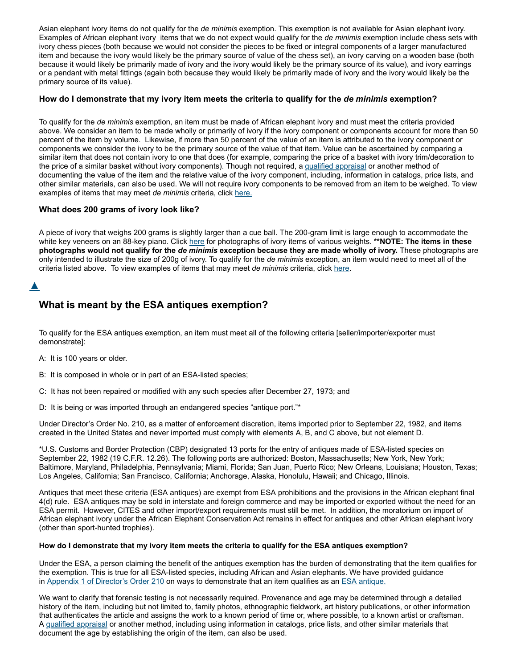Asian elephant ivory items do not qualify for the *de minimis* exemption. This exemption is not available for Asian elephant ivory. Examples of African elephant ivory items that we do not expect would qualify for the *de minimis* exemption include chess sets with ivory chess pieces (both because we would not consider the pieces to be fixed or integral components of a larger manufactured item and because the ivory would likely be the primary source of value of the chess set), an ivory carving on a wooden base (both because it would likely be primarily made of ivory and the ivory would likely be the primary source of its value), and ivory earrings or a pendant with metal fittings (again both because they would likely be primarily made of ivory and the ivory would likely be the primary source of its value).

#### How do I demonstrate that my ivory item meets the criteria to qualify for the de minimis exemption?

To qualify for the *de minimis* exemption, an item must be made of African elephant ivory and must meet the criteria provided above. We consider an item to be made wholly or primarily of ivory if the ivory component or components account for more than 50 percent of the item by volume. Likewise, if more than 50 percent of the value of an item is attributed to the ivory component or components we consider the ivory to be the primary source of the value of that item. Value can be ascertained by comparing a similar item that does not contain ivory to one that does (for example, comparing the price of a basket with ivory trim/decoration to the price of a similar basket without ivory components). Though not required, a [qualified appraisal](https://web.archive.org/web/20210924084013/https://www.fws.gov/international/travel-and-trade/questions-and-answers-esa-cites.html#11) or another method of documenting the value of the item and the relative value of the ivory component, including, information in catalogs, price lists, and other similar materials, can also be used. We will not require ivory components to be removed from an item to be weighed. To view examples of items that may meet *de minimis* criteria, click [here.](https://web.archive.org/web/20210924084013/https://www.fws.gov/international/pdf/african-elephant-ivory-de-minimis-examples.pdf)

#### **What does 200 grams of ivory look like?**

A piece of ivory that weighs 200 grams is slightly larger than a cue ball. The 200-gram limit is large enough to accommodate the white key veneers on an 88-key piano. Click [here](https://web.archive.org/web/20210924084013/https://www.fws.gov/international/pdf/ivory-objects-and-weights.pdf) for photographs of ivory items of various weights. **\*\*NOTE: The items in these photographs would not qualify for the** *de minimis* **exception because they are made wholly of ivory.** These photographs are only intended to illustrate the size of 200g of ivory. To qualify for the *de minimis* exception, an item would need to meet all of the criteria listed above. To view examples of items that may meet *de minimis* criteria, click [here.](https://web.archive.org/web/20210924084013/https://www.fws.gov/international/pdf/african-elephant-ivory-de-minimis-examples.pdf)

#### [▲](https://web.archive.org/web/20210924084013/https://www.fws.gov/international/travel-and-trade/ivory-ban-questions-and-answers.html#)

## **What is meant by the ESA antiques exemption?**

To qualify for the ESA antiques exemption, an item must meet all of the following criteria [seller/importer/exporter must demonstrate]:

- A: It is 100 years or older.
- B: It is composed in whole or in part of an ESA-listed species;
- C: It has not been repaired or modified with any such species after December 27, 1973; and
- D: It is being or was imported through an endangered species "antique port."\*

Under Director's Order No. 210, as a matter of enforcement discretion, items imported prior to September 22, 1982, and items created in the United States and never imported must comply with elements A, B, and C above, but not element D.

\*U.S. Customs and Border Protection (CBP) designated 13 ports for the entry of antiques made of ESA-listed species on September 22, 1982 (19 C.F.R. 12.26). The following ports are authorized: Boston, Massachusetts; New York, New York; Baltimore, Maryland, Philadelphia, Pennsylvania; Miami, Florida; San Juan, Puerto Rico; New Orleans, Louisiana; Houston, Texas; Los Angeles, California; San Francisco, California; Anchorage, Alaska, Honolulu, Hawaii; and Chicago, Illinois.

Antiques that meet these criteria (ESA antiques) are exempt from ESA prohibitions and the provisions in the African elephant final 4(d) rule. ESA antiques may be sold in interstate and foreign commerce and may be imported or exported without the need for an ESA permit. However, CITES and other import/export requirements must still be met. In addition, the moratorium on import of African elephant ivory under the African Elephant Conservation Act remains in effect for antiques and other African elephant ivory (other than sport-hunted trophies).

#### **How do I demonstrate that my ivory item meets the criteria to qualify for the ESA antiques exemption?**

Under the ESA, a person claiming the benefit of the antiques exemption has the burden of demonstrating that the item qualifies for the exemption. This is true for all ESA-listed species, including African and Asian elephants. We have provided guidance in [Appendix 1 of Director's Order 210](https://web.archive.org/web/20210924084013/https://www.fws.gov/policy/do210A1.pdf) on ways to demonstrate that an item qualifies as an [ESA antique.](javascript:window.open()

We want to clarify that forensic testing is not necessarily required. Provenance and age may be determined through a detailed history of the item, including but not limited to, family photos, ethnographic fieldwork, art history publications, or other information that authenticates the article and assigns the work to a known period of time or, where possible, to a known artist or craftsman. A [qualified appraisal](https://web.archive.org/web/20210924084013/https://www.fws.gov/international/travel-and-trade/questions-and-answers-esa-cites.html#11) or another method, including using information in catalogs, price lists, and other similar materials that document the age by establishing the origin of the item, can also be used.